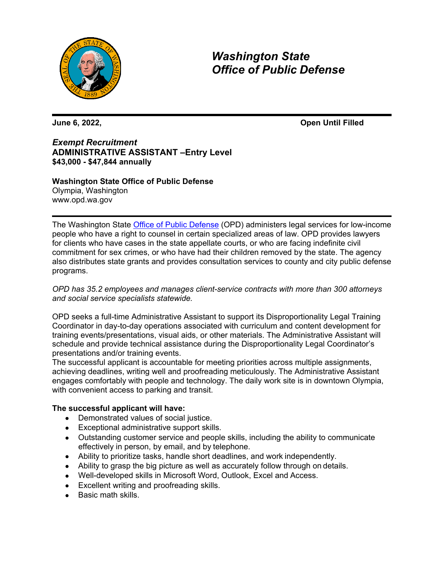

*Washington State Office of Public Defense*

**June 6, 2022, Open Until Filled**

*Exempt Recruitment* **ADMINISTRATIVE ASSISTANT –Entry Level \$43,000 - \$47,844 annually**

# **Washington State Office of Public Defense**

Olympia, Washington [www.opd.wa.gov](http://www.opd.wa.gov/)

The Washington State [Office of Public Defense](https://www.opd.wa.gov/) (OPD) administers legal services for low-income people who have a right to counsel in certain specialized areas of law. OPD provides lawyers for clients who have cases in the state appellate courts, or who are facing indefinite civil commitment for sex crimes, or who have had their children removed by the state. The agency also distributes state grants and provides consultation services to county and city public defense programs.

### *OPD has 35.2 employees and manages client-service contracts with more than 300 attorneys and social service specialists statewide.*

OPD seeks a full-time Administrative Assistant to support its Disproportionality Legal Training Coordinator in day-to-day operations associated with curriculum and content development for training events/presentations, visual aids, or other materials. The Administrative Assistant will schedule and provide technical assistance during the Disproportionality Legal Coordinator's presentations and/or training events.

The successful applicant is accountable for meeting priorities across multiple assignments, achieving deadlines, writing well and proofreading meticulously. The Administrative Assistant engages comfortably with people and technology. The daily work site is in downtown Olympia, with convenient access to parking and transit.

### **The successful applicant will have:**

- Demonstrated values of social justice.
- Exceptional administrative support skills.
- Outstanding customer service and people skills, including the ability to communicate effectively in person, by email, and by telephone.
- Ability to prioritize tasks, handle short deadlines, and work independently.
- Ability to grasp the big picture as well as accurately follow through on details.
- Well-developed skills in Microsoft Word, Outlook, Excel and Access.
- Excellent writing and proofreading skills.
- Basic math skills.